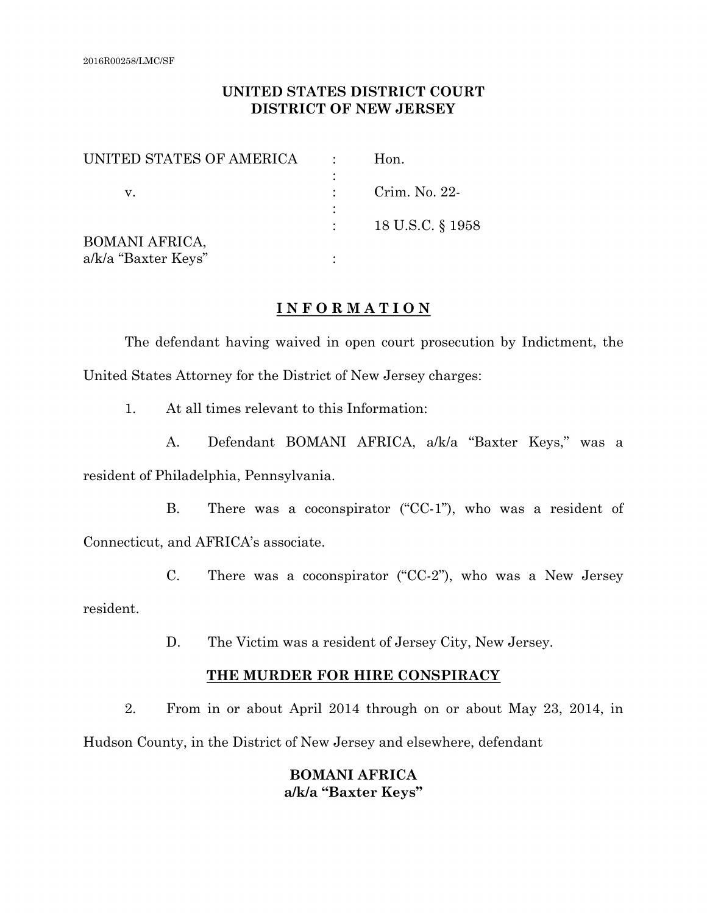### **UNITED STATES DISTRICT COURT DISTRICT OF NEW JERSEY**

| UNITED STATES OF AMERICA | Hon.             |
|--------------------------|------------------|
| v.                       | Crim. No. 22-    |
|                          | 18 U.S.C. § 1958 |
| <b>BOMANI AFRICA,</b>    |                  |
| a/k/a "Baxter Keys"      |                  |

#### **I N F O R M A T I O N**

 The defendant having waived in open court prosecution by Indictment, the United States Attorney for the District of New Jersey charges:

1. At all times relevant to this Information:

A. Defendant BOMANI AFRICA, a/k/a "Baxter Keys," was a resident of Philadelphia, Pennsylvania.

B. There was a coconspirator ("CC-1"), who was a resident of Connecticut, and AFRICA's associate.

C. There was a coconspirator ("CC-2"), who was a New Jersey resident.

D. The Victim was a resident of Jersey City, New Jersey.

### **THE MURDER FOR HIRE CONSPIRACY**

2. From in or about April 2014 through on or about May 23, 2014, in Hudson County, in the District of New Jersey and elsewhere, defendant

## **BOMANI AFRICA a/k/a "Baxter Keys"**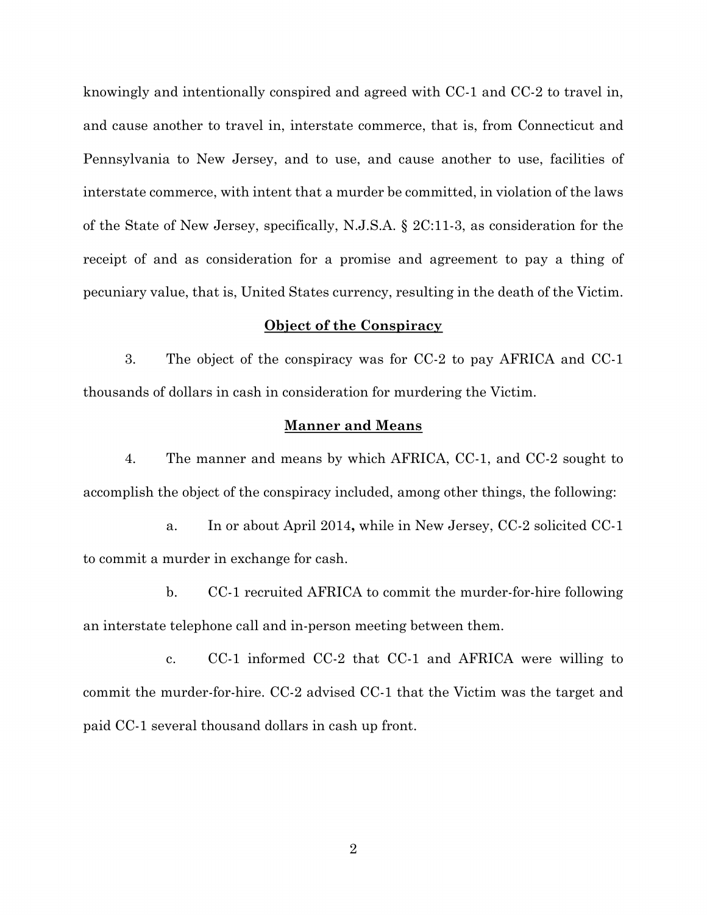knowingly and intentionally conspired and agreed with CC-1 and CC-2 to travel in, and cause another to travel in, interstate commerce, that is, from Connecticut and Pennsylvania to New Jersey, and to use, and cause another to use, facilities of interstate commerce, with intent that a murder be committed, in violation of the laws of the State of New Jersey, specifically, N.J.S.A. § 2C:11-3, as consideration for the receipt of and as consideration for a promise and agreement to pay a thing of pecuniary value, that is, United States currency, resulting in the death of the Victim.

#### **Object of the Conspiracy**

3. The object of the conspiracy was for CC-2 to pay AFRICA and CC-1 thousands of dollars in cash in consideration for murdering the Victim.

#### **Manner and Means**

4. The manner and means by which AFRICA, CC-1, and CC-2 sought to accomplish the object of the conspiracy included, among other things, the following:

a. In or about April 2014**,** while in New Jersey, CC-2 solicited CC-1 to commit a murder in exchange for cash.

b. CC-1 recruited AFRICA to commit the murder-for-hire following an interstate telephone call and in-person meeting between them.

c. CC-1 informed CC-2 that CC-1 and AFRICA were willing to commit the murder-for-hire. CC-2 advised CC-1 that the Victim was the target and paid CC-1 several thousand dollars in cash up front.

2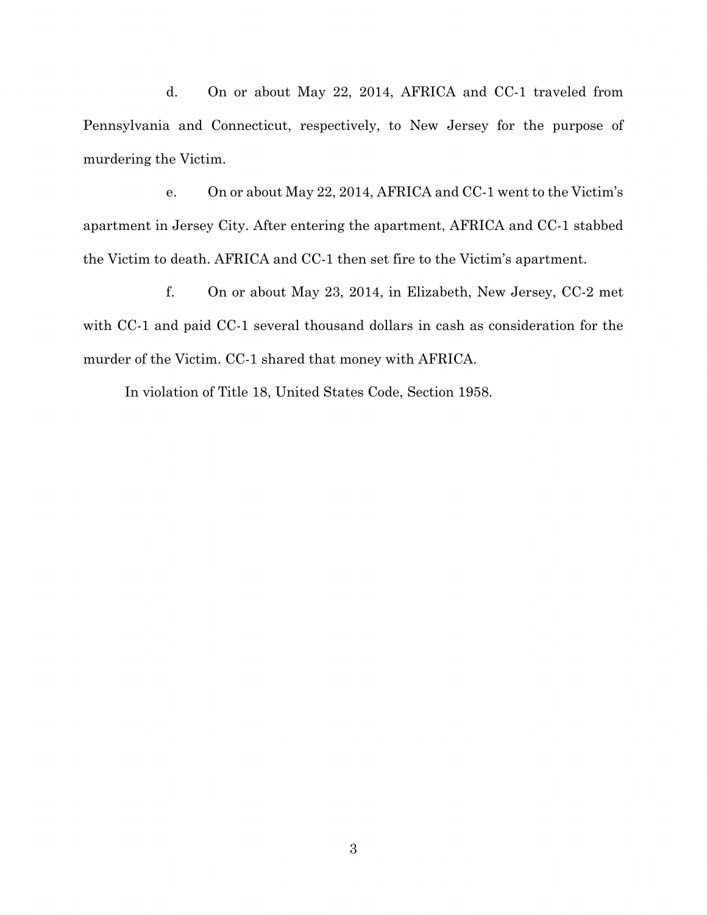d. On or about May 22, 2014, AFRICA and CC-1 traveled from Pennsylvania and Connecticut, respectively, to New Jersey for the purpose of murdering the Victim.

e. On or about May 22, 2014, AFRICA and CC-1 went to the Victim's apartment in Jersey City. After entering the apartment, AFRICA and CC-1 stabbed the Victim to death. AFRICA and CC-1 then set fire to the Victim's apartment.

f. On or about May 23, 2014, in Elizabeth, New Jersey, CC-2 met with CC-1 and paid CC-1 several thousand dollars in cash as consideration for the murder of the Victim. CC-1 shared that money with AFRICA.

In violation of Title 18, United States Code, Section 1958.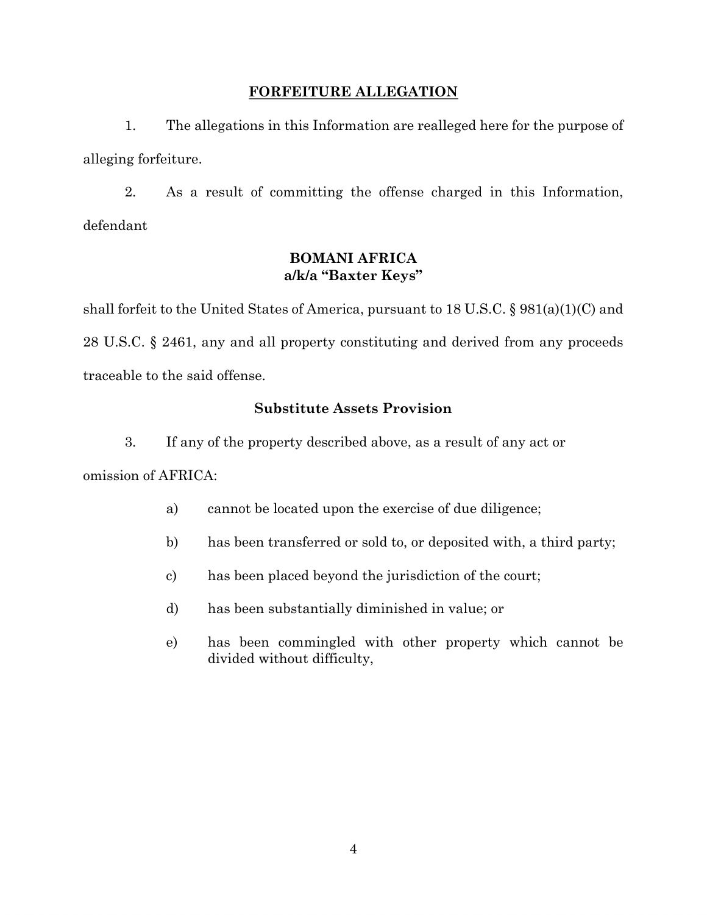### **FORFEITURE ALLEGATION**

1. The allegations in this Information are realleged here for the purpose of alleging forfeiture.

2. As a result of committing the offense charged in this Information, defendant

## **BOMANI AFRICA a/k/a "Baxter Keys"**

shall forfeit to the United States of America, pursuant to 18 U.S.C. § 981(a)(1)(C) and 28 U.S.C. § 2461, any and all property constituting and derived from any proceeds traceable to the said offense.

# **Substitute Assets Provision**

3. If any of the property described above, as a result of any act or

omission of AFRICA:

- a) cannot be located upon the exercise of due diligence;
- b) has been transferred or sold to, or deposited with, a third party;
- c) has been placed beyond the jurisdiction of the court;
- d) has been substantially diminished in value; or
- e) has been commingled with other property which cannot be divided without difficulty,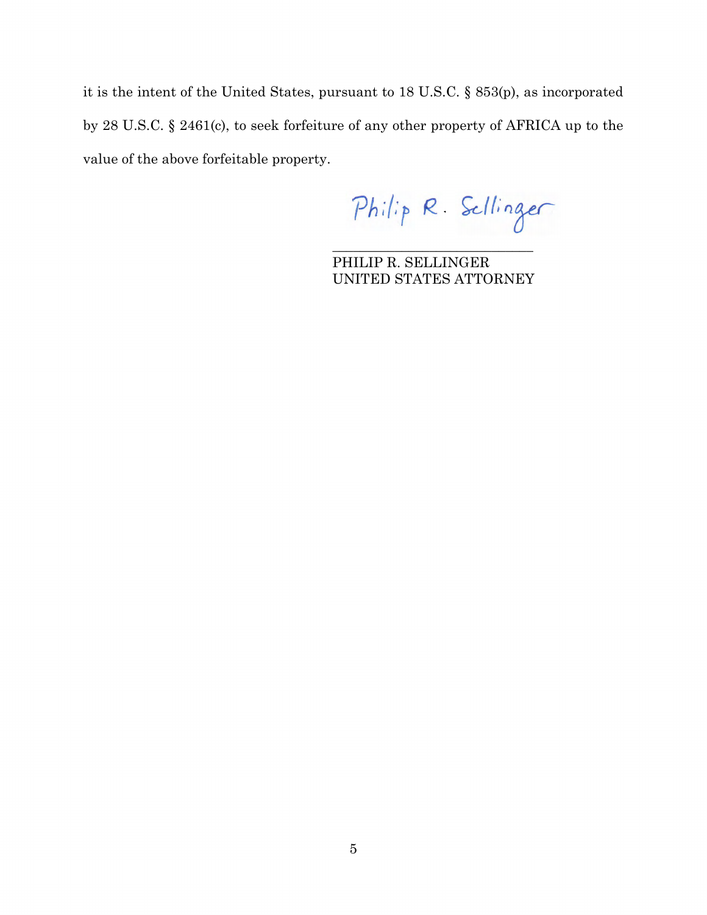it is the intent of the United States, pursuant to 18 U.S.C. § 853(p), as incorporated by 28 U.S.C. § 2461(c), to seek forfeiture of any other property of AFRICA up to the value of the above forfeitable property.

Philip R. Sellinger

PHILIP R. SELLINGER UNITED STATES ATTORNEY